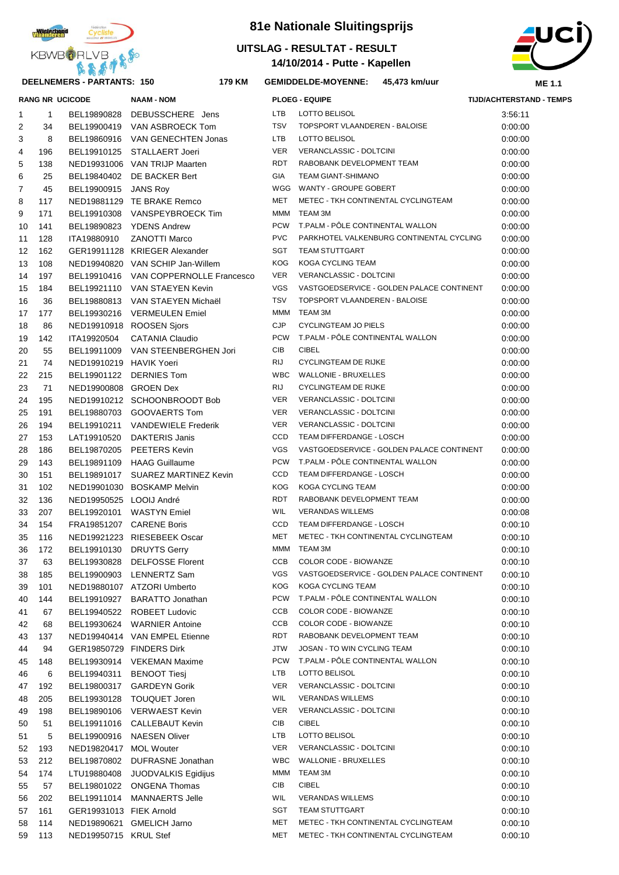

# **DEELNEMERS - PARTANTS: 150 179**

# **81e Nationale Sluitingsprijs**

### **14/10/2014 - Putte - Kapellen UITSLAG - RESULTAT - RESULT**



#### **KM GEMIDDELDE-MOYENNE: 45,473 km/uur**

| <b>TIJD/ACHTERSTAND - TEMPS</b> |  |
|---------------------------------|--|
|                                 |  |

|                |           | <b>RANG NR UCICODE</b>  | <b>NAAM - NOM</b>                     |            | <b>PLOEG - EQUIPE</b>                     | <b>TIJD/ACHTERSTAND - TEMPS</b> |
|----------------|-----------|-------------------------|---------------------------------------|------------|-------------------------------------------|---------------------------------|
| $\mathbf{1}$   | 1         | BEL19890828             | DEBUSSCHERE Jens                      | <b>LTB</b> | LOTTO BELISOL                             | 3:56:11                         |
| $\overline{2}$ | 34        | BEL19900419             | VAN ASBROECK Tom                      | <b>TSV</b> | TOPSPORT VLAANDEREN - BALOISE             | 0:00:00                         |
| 3              | 8         |                         | BEL19860916 VAN GENECHTEN Jonas       | <b>LTB</b> | LOTTO BELISOL                             | 0:00:00                         |
| 4              | 196       |                         | BEL19910125 STALLAERT Joeri           | <b>VER</b> | VERANCLASSIC - DOLTCINI                   | 0:00:00                         |
| $\mathbf 5$    | 138       |                         | NED19931006 VAN TRIJP Maarten         | <b>RDT</b> | RABOBANK DEVELOPMENT TEAM                 | 0:00:00                         |
| 6              | 25        | BEL19840402             | DE BACKER Bert                        | <b>GIA</b> | <b>TEAM GIANT-SHIMANO</b>                 | 0:00:00                         |
| $\overline{7}$ | 45        | BEL19900915             | <b>JANS Roy</b>                       | WGG        | WANTY - GROUPE GOBERT                     | 0:00:00                         |
| 8              | 117       |                         | NED19881129 TE BRAKE Remco            | <b>MET</b> | METEC - TKH CONTINENTAL CYCLINGTEAM       | 0:00:00                         |
| 9              | 171       |                         | BEL19910308 VANSPEYBROECK Tim         | <b>MMM</b> | TEAM 3M                                   | 0:00:00                         |
| 10             | 141       |                         | BEL19890823 YDENS Andrew              | <b>PCW</b> | T.PALM - PÔLE CONTINENTAL WALLON          | 0:00:00                         |
| 11             | 128       | ITA19880910             | <b>ZANOTTI Marco</b>                  | <b>PVC</b> | PARKHOTEL VALKENBURG CONTINENTAL CYCLING  | 0:00:00                         |
|                | 12<br>162 |                         | GER19911128 KRIEGER Alexander         | <b>SGT</b> | <b>TEAM STUTTGART</b>                     | 0:00:00                         |
|                | 13<br>108 |                         | NED19940820 VAN SCHIP Jan-Willem      | <b>KOG</b> | KOGA CYCLING TEAM                         | 0:00:00                         |
| 14             | 197       |                         | BEL19910416 VAN COPPERNOLLE Francesco | <b>VER</b> | VERANCLASSIC - DOLTCINI                   | 0:00:00                         |
|                | 15<br>184 |                         | BEL19921110 VAN STAEYEN Kevin         | <b>VGS</b> | VASTGOEDSERVICE - GOLDEN PALACE CONTINENT | 0:00:00                         |
|                | 16<br>36  | BEL19880813             | VAN STAEYEN Michaël                   | <b>TSV</b> | TOPSPORT VLAANDEREN - BALOISE             | 0:00:00                         |
|                | 17<br>177 |                         | BEL19930216 VERMEULEN Emiel           | MMM        | TEAM 3M                                   | 0:00:00                         |
|                | 18<br>86  |                         | NED19910918 ROOSEN Sjors              | <b>CJP</b> | <b>CYCLINGTEAM JO PIELS</b>               | 0:00:00                         |
| 19             | 142       | ITA19920504             | <b>CATANIA Claudio</b>                | <b>PCW</b> | T.PALM - PÖLE CONTINENTAL WALLON          | 0:00:00                         |
|                | 20<br>55  |                         | BEL19911009 VAN STEENBERGHEN Jori     | CIB        | <b>CIBEL</b>                              | 0:00:00                         |
| 21             | 74        | NED19910219 HAVIK Yoeri |                                       | <b>RIJ</b> | <b>CYCLINGTEAM DE RIJKE</b>               | 0:00:00                         |
|                | 22<br>215 | BEL19901122             | <b>DERNIES Tom</b>                    | <b>WBC</b> | WALLONIE - BRUXELLES                      | 0:00:00                         |
|                | 23<br>71  | NED19900808 GROEN Dex   |                                       | <b>RIJ</b> | <b>CYCLINGTEAM DE RIJKE</b>               | 0:00:00                         |
|                | 24<br>195 |                         | NED19910212 SCHOONBROODT Bob          | <b>VER</b> | VERANCLASSIC - DOLTCINI                   | 0:00:00                         |
| 25             | 191       | BEL19880703             | GOOVAERTS Tom                         | <b>VER</b> | VERANCLASSIC - DOLTCINI                   | 0:00:00                         |
|                | 26<br>194 | BEL19910211             | <b>VANDEWIELE Frederik</b>            | <b>VER</b> | VERANCLASSIC - DOLTCINI                   | 0:00:00                         |
| 27             | 153       | LAT19910520             | <b>DAKTERIS Janis</b>                 | <b>CCD</b> | TEAM DIFFERDANGE - LOSCH                  | 0:00:00                         |
| 28             | 186       | BEL19870205             | PEETERS Kevin                         | <b>VGS</b> | VASTGOEDSERVICE - GOLDEN PALACE CONTINENT | 0:00:00                         |
| 29             | 143       | BEL19891109             | <b>HAAG Guillaume</b>                 | <b>PCW</b> | T.PALM - PÖLE CONTINENTAL WALLON          | 0:00:00                         |
|                | 30<br>151 | BEL19891017             | <b>SUAREZ MARTINEZ Kevin</b>          | CCD        | TEAM DIFFERDANGE - LOSCH                  | 0:00:00                         |
| 31             | 102       |                         | NED19901030 BOSKAMP Melvin            | <b>KOG</b> | KOGA CYCLING TEAM                         | 0:00:00                         |
|                | 32<br>136 | NED19950525 LOOIJ André |                                       | <b>RDT</b> | RABOBANK DEVELOPMENT TEAM                 | 0:00:00                         |
|                | 33<br>207 | BEL19920101             | <b>WASTYN</b> Emiel                   | WIL        | <b>VERANDAS WILLEMS</b>                   | 0:00:08                         |
|                | 34<br>154 |                         | FRA19851207 CARENE Boris              | <b>CCD</b> | TEAM DIFFERDANGE - LOSCH                  | 0:00:10                         |
| 35             | 116       |                         | NED19921223 RIESEBEEK Oscar           | <b>MET</b> | METEC - TKH CONTINENTAL CYCLINGTEAM       | 0:00:10                         |
|                | 36<br>172 | BEL19910130             | <b>DRUYTS Gerry</b>                   | MMM        | TEAM 3M                                   | 0:00:10                         |
|                | 37<br>63  |                         | BEL19930828 DELFOSSE Florent          | CCB        | COLOR CODE - BIOWANZE                     | 0:00:10                         |
|                | 185<br>38 |                         | BEL19900903 LENNERTZ Sam              | VGS        | VASTGOEDSERVICE - GOLDEN PALACE CONTINENT | 0:00:10                         |
| 39             | 101       |                         | NED19880107 ATZORI Umberto            | KOG        | KOGA CYCLING TEAM                         | 0:00:10                         |
|                | 40<br>144 |                         | BEL19910927 BARATTO Jonathan          | <b>PCW</b> | T.PALM - PÖLE CONTINENTAL WALLON          | 0:00:10                         |
| 41             | 67        |                         | BEL19940522 ROBEET Ludovic            | CCB        | COLOR CODE - BIOWANZE                     | 0:00:10                         |
|                | 42<br>68  |                         | BEL19930624 WARNIER Antoine           | CCB        | COLOR CODE - BIOWANZE                     | 0:00:10                         |
|                | 43<br>137 |                         | NED19940414 VAN EMPEL Etienne         | RDT        | RABOBANK DEVELOPMENT TEAM                 | 0:00:10                         |
|                | 44<br>94  |                         | GER19850729 FINDERS Dirk              | JTW        | JOSAN - TO WIN CYCLING TEAM               | 0:00:10                         |
|                | 45<br>148 |                         | BEL19930914 VEKEMAN Maxime            | <b>PCW</b> | T.PALM - PÖLE CONTINENTAL WALLON          | 0:00:10                         |
|                | 46<br>6   | BEL19940311             | <b>BENOOT Tiesi</b>                   | LTB        | LOTTO BELISOL                             | 0:00:10                         |
|                | 47<br>192 | BEL19800317             | <b>GARDEYN Gorik</b>                  | VER        | VERANCLASSIC - DOLTCINI                   | 0:00:10                         |
| 48             | 205       |                         | BEL19930128 TOUQUET Joren             | <b>WIL</b> | <b>VERANDAS WILLEMS</b>                   | 0:00:10                         |
| 49             | 198       |                         | BEL19890106 VERWAEST Kevin            | VER        | VERANCLASSIC - DOLTCINI                   | 0:00:10                         |
|                | 50<br>51  |                         | BEL19911016 CALLEBAUT Kevin           | CIB        | <b>CIBEL</b>                              | 0:00:10                         |
| 51             | 5         |                         | BEL19900916 NAESEN Oliver             | LTB        | LOTTO BELISOL                             | 0:00:10                         |
|                | 52<br>193 | NED19820417 MOL Wouter  |                                       | VER        | VERANCLASSIC - DOLTCINI                   | 0:00:10                         |
|                | 53<br>212 | BEL19870802             | DUFRASNE Jonathan                     | <b>WBC</b> | <b>WALLONIE - BRUXELLES</b>               | 0:00:10                         |
|                | 54<br>174 | LTU19880408             | JUODVALKIS Egidijus                   | MMM        | TEAM 3M                                   | 0:00:10                         |
|                | 55<br>57  |                         | BEL19801022 ONGENA Thomas             | CIB        | <b>CIBEL</b>                              | 0:00:10                         |
|                | 56<br>202 |                         | BEL19911014 MANNAERTS Jelle           | <b>WIL</b> | <b>VERANDAS WILLEMS</b>                   | 0:00:10                         |
|                | 57<br>161 | GER19931013 FIEK Arnold |                                       | SGT        | TEAM STUTTGART                            | 0:00:10                         |
|                | 58<br>114 |                         | NED19890621 GMELICH Jarno             | MET        | METEC - TKH CONTINENTAL CYCLINGTEAM       | 0:00:10                         |
|                | 59<br>113 | NED19950715 KRUL Stef   |                                       | MET        | METEC - TKH CONTINENTAL CYCLINGTEAM       | 0:00:10                         |
|                |           |                         |                                       |            |                                           |                                 |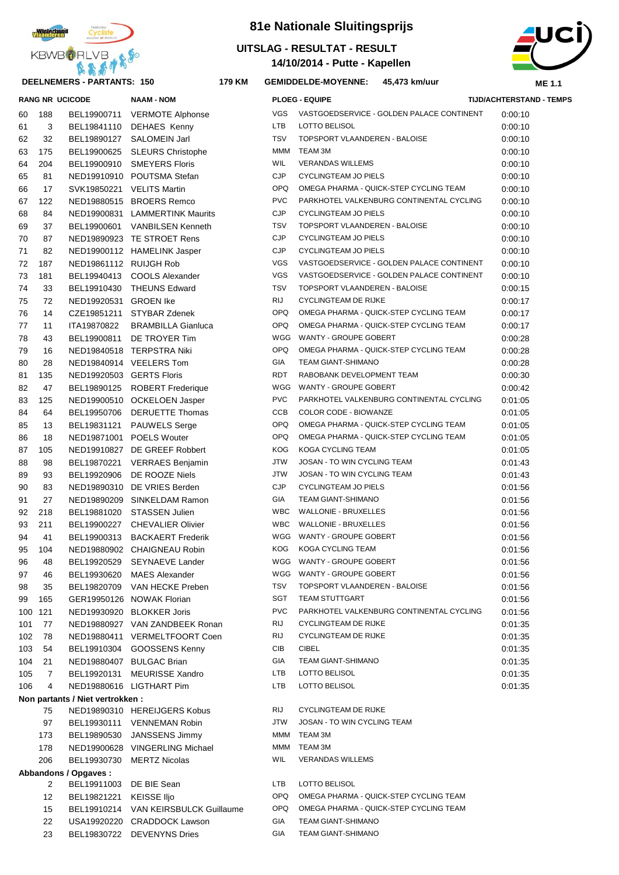

#### **DEELNEMERS - PARTANTS: 150 179**

| 81e Nationale Sluitingsprijs |
|------------------------------|
| UITSLAG - RESULTAT - RESULT  |

**14/10/2014 - Putte - Kapellen**



**KM GEMIDDELDE-MOYENNE: 45,473 km/uur**

|     |                      | <b>RANG NR UCICODE</b>          | <b>NAAM - NOM</b>                    |            | <b>PLOEG - EQUIPE</b>                     | <b>TIJD/ACHTERSTAND - TEMPS</b> |
|-----|----------------------|---------------------------------|--------------------------------------|------------|-------------------------------------------|---------------------------------|
| 60  | 188                  |                                 | BEL19900711 VERMOTE Alphonse         | <b>VGS</b> | VASTGOEDSERVICE - GOLDEN PALACE CONTINENT | 0:00:10                         |
| 61  | 3                    |                                 | BEL19841110 DEHAES Kenny             | <b>LTB</b> | LOTTO BELISOL                             | 0:00:10                         |
| 62  | 32                   |                                 | BEL19890127 SALOMEIN Jarl            | <b>TSV</b> | TOPSPORT VLAANDEREN - BALOISE             | 0:00:10                         |
| 63  | 175                  |                                 | BEL19900625 SLEURS Christophe        | MMM        | TEAM 3M                                   | 0:00:10                         |
| 64  | 204                  |                                 | BEL19900910 SMEYERS Floris           | WIL        | <b>VERANDAS WILLEMS</b>                   | 0:00:10                         |
| 65  | 81                   |                                 | NED19910910 POUTSMA Stefan           | <b>CJP</b> | <b>CYCLINGTEAM JO PIELS</b>               | 0:00:10                         |
| 66  | 17                   | SVK19850221 VELITS Martin       |                                      | <b>OPQ</b> | OMEGA PHARMA - QUICK-STEP CYCLING TEAM    | 0:00:10                         |
| 67  | 122                  |                                 | NED19880515 BROERS Remco             | <b>PVC</b> | PARKHOTEL VALKENBURG CONTINENTAL CYCLING  | 0:00:10                         |
| 68  | 84                   |                                 | NED19900831 LAMMERTINK Maurits       | <b>CJP</b> | <b>CYCLINGTEAM JO PIELS</b>               | 0:00:10                         |
| 69  | 37                   |                                 | BEL19900601 VANBILSEN Kenneth        | <b>TSV</b> | TOPSPORT VLAANDEREN - BALOISE             | 0:00:10                         |
| 70  | 87                   |                                 | NED19890923 TE STROET Rens           | <b>CJP</b> | <b>CYCLINGTEAM JO PIELS</b>               | 0:00:10                         |
| 71  | 82                   |                                 | NED19900112 HAMELINK Jasper          | <b>CJP</b> | <b>CYCLINGTEAM JO PIELS</b>               | 0:00:10                         |
| 72  | 187                  | NED19861112 RUIJGH Rob          |                                      | VGS        | VASTGOEDSERVICE - GOLDEN PALACE CONTINENT | 0:00:10                         |
| 73  | 181                  |                                 | BEL19940413 COOLS Alexander          | VGS        | VASTGOEDSERVICE - GOLDEN PALACE CONTINENT | 0:00:10                         |
| 74  | 33                   |                                 | BEL19910430 THEUNS Edward            | TSV        | TOPSPORT VLAANDEREN - BALOISE             | 0:00:15                         |
| 75  | 72                   | NED19920531 GROEN Ike           |                                      | RIJ        | <b>CYCLINGTEAM DE RIJKE</b>               | 0:00:17                         |
| 76  | 14                   |                                 | CZE19851211 STYBAR Zdenek            | <b>OPQ</b> | OMEGA PHARMA - QUICK-STEP CYCLING TEAM    | 0:00:17                         |
| 77  | 11                   | ITA19870822                     | <b>BRAMBILLA Gianluca</b>            | <b>OPQ</b> | OMEGA PHARMA - QUICK-STEP CYCLING TEAM    | 0:00:17                         |
| 78  | 43                   |                                 | BEL19900811 DE TROYER Tim            | WGG        | WANTY - GROUPE GOBERT                     | 0:00:28                         |
| 79  | 16                   |                                 | NED19840518 TERPSTRA Niki            | <b>OPQ</b> | OMEGA PHARMA - QUICK-STEP CYCLING TEAM    | 0:00:28                         |
| 80  | 28                   |                                 | NED19840914 VEELERS Tom              | GIA        | TEAM GIANT-SHIMANO                        | 0:00:28                         |
| 81  | 135                  | NED19920503 GERTS Floris        |                                      | RDT        | RABOBANK DEVELOPMENT TEAM                 | 0:00:30                         |
| 82  | 47                   |                                 | BEL19890125 ROBERT Frederique        | WGG        | WANTY - GROUPE GOBERT                     | 0:00:42                         |
| 83  | 125                  |                                 | NED19900510 OCKELOEN Jasper          | <b>PVC</b> | PARKHOTEL VALKENBURG CONTINENTAL CYCLING  | 0:01:05                         |
| 84  | 64                   |                                 | BEL19950706 DERUETTE Thomas          | CCB        | COLOR CODE - BIOWANZE                     | 0:01:05                         |
| 85  | 13                   |                                 | BEL19831121 PAUWELS Serge            | <b>OPQ</b> | OMEGA PHARMA - QUICK-STEP CYCLING TEAM    | 0:01:05                         |
| 86  | 18                   |                                 | NED19871001 POELS Wouter             | <b>OPQ</b> | OMEGA PHARMA - QUICK-STEP CYCLING TEAM    | 0:01:05                         |
| 87  | 105                  |                                 | NED19910827 DE GREEF Robbert         | <b>KOG</b> | KOGA CYCLING TEAM                         | 0:01:05                         |
| 88  | 98                   |                                 | BEL19870221 VERRAES Benjamin         | <b>JTW</b> | JOSAN - TO WIN CYCLING TEAM               | 0:01:43                         |
| 89  | 93                   |                                 | BEL19920906 DE ROOZE Niels           | <b>JTW</b> | JOSAN - TO WIN CYCLING TEAM               | 0:01:43                         |
| 90  | 83                   |                                 | NED19890310 DE VRIES Berden          | <b>CJP</b> | <b>CYCLINGTEAM JO PIELS</b>               | 0:01:56                         |
| 91  | 27                   |                                 | NED19890209 SINKELDAM Ramon          | GIA        | TEAM GIANT-SHIMANO                        | 0:01:56                         |
| 92  | 218                  |                                 | BEL19881020 STASSEN Julien           | <b>WBC</b> | <b>WALLONIE - BRUXELLES</b>               | 0:01:56                         |
| 93  | 211                  |                                 | BEL19900227 CHEVALIER Olivier        | <b>WBC</b> | <b>WALLONIE - BRUXELLES</b>               | 0:01:56                         |
| 94  | 41                   |                                 | BEL19900313 BACKAERT Frederik        | WGG        | WANTY - GROUPE GOBERT                     | 0:01:56                         |
| 95  | 104                  |                                 | NED19880902 CHAIGNEAU Robin          | KOG        | KOGA CYCLING TEAM                         | 0:01:56                         |
| 96  | 48                   | BEL19920529                     | <b>SEYNAEVE Lander</b>               |            | WGG WANTY - GROUPE GOBERT                 | 0:01:56                         |
| 97  | 46                   |                                 | BEL19930620 MAES Alexander           |            | WGG WANTY - GROUPE GOBERT                 | 0:01:56                         |
| 98  | 35                   |                                 | BEL19820709 VAN HECKE Preben         | TSV        | TOPSPORT VLAANDEREN - BALOISE             | 0:01:56                         |
| 99  | 165                  |                                 | GER19950126 NOWAK Florian            | SGT        | <b>TEAM STUTTGART</b>                     | 0:01:56                         |
| 100 | 121                  |                                 | NED19930920 BLOKKER Joris            | <b>PVC</b> | PARKHOTEL VALKENBURG CONTINENTAL CYCLING  | 0:01:56                         |
| 101 | 77                   |                                 | NED19880927 VAN ZANDBEEK Ronan       | RIJ        | CYCLINGTEAM DE RIJKE                      | 0:01:35                         |
| 102 | 78                   |                                 | NED19880411 VERMELTFOORT Coen        | RIJ        | <b>CYCLINGTEAM DE RIJKE</b>               | 0:01:35                         |
| 103 | 54                   |                                 | BEL19910304 GOOSSENS Kenny           | CIB        | CIBEL                                     | 0:01:35                         |
| 104 | 21                   | NED19880407 BULGAC Brian        |                                      | GIA        | TEAM GIANT-SHIMANO                        | 0:01:35                         |
| 105 | $\overline{7}$       |                                 | BEL19920131 MEURISSE Xandro          | LTB        | LOTTO BELISOL                             | 0:01:35                         |
| 106 | 4                    |                                 | NED19880616 LIGTHART Pim             | LTB        | LOTTO BELISOL                             | 0:01:35                         |
|     |                      | Non partants / Niet vertrokken: |                                      |            |                                           |                                 |
|     | 75                   |                                 | NED19890310 HEREIJGERS Kobus         | RIJ        | <b>CYCLINGTEAM DE RIJKE</b>               |                                 |
|     | 97                   |                                 | BEL19930111 VENNEMAN Robin           | JTW        | JOSAN - TO WIN CYCLING TEAM               |                                 |
|     | 173                  |                                 | BEL19890530 JANSSENS Jimmy           | MMM        | TEAM 3M                                   |                                 |
|     | 178                  |                                 | NED19900628 VINGERLING Michael       | MMM        | TEAM 3M                                   |                                 |
|     | 206                  |                                 | BEL19930730 MERTZ Nicolas            | WIL        | <b>VERANDAS WILLEMS</b>                   |                                 |
|     | Abbandons / Opgaves: |                                 |                                      |            |                                           |                                 |
|     | 2                    | BEL19911003 DE BIE Sean         |                                      | LTB        | LOTTO BELISOL                             |                                 |
|     | 12                   | BEL19821221 KEISSE IIjo         |                                      | OPQ.       | OMEGA PHARMA - QUICK-STEP CYCLING TEAM    |                                 |
|     | 15                   |                                 | BEL19910214 VAN KEIRSBULCK Guillaume | OPQ.       | OMEGA PHARMA - QUICK-STEP CYCLING TEAM    |                                 |
|     | 22                   |                                 | USA19920220 CRADDOCK Lawson          | GIA        | TEAM GIANT-SHIMANO                        |                                 |
|     | 23                   |                                 | BEL19830722 DEVENYNS Dries           | GIA        | <b>TEAM GIANT-SHIMANO</b>                 |                                 |